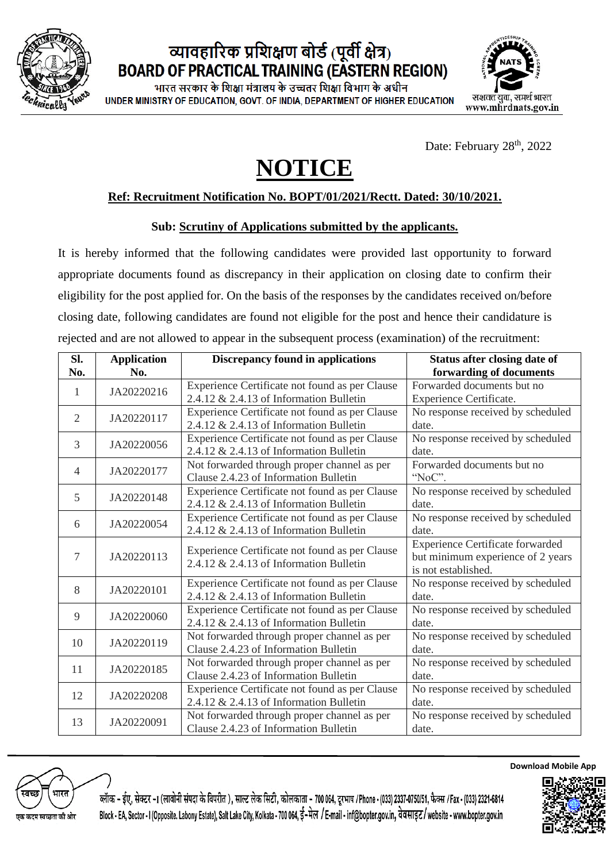

### व्यावहारिक प्रशिक्षण बोर्ड (पूर्वी क्षेत्र) **BOARD OF PRACTICAL TRAINING (EASTERN REGION)**

भारत सरकार के शिक्षा मंत्रालय के उच्चतर शिक्षा विभाग के अधीन UNDER MINISTRY OF EDUCATION, GOVT, OF INDIA, DEPARTMENT OF HIGHER EDUCATION



Date: February 28<sup>th</sup>, 2022

# **NOTICE**

#### **Ref: Recruitment Notification No. BOPT/01/2021/Rectt. Dated: 30/10/2021.**

#### **Sub: Scrutiny of Applications submitted by the applicants.**

It is hereby informed that the following candidates were provided last opportunity to forward appropriate documents found as discrepancy in their application on closing date to confirm their eligibility for the post applied for. On the basis of the responses by the candidates received on/before closing date, following candidates are found not eligible for the post and hence their candidature is rejected and are not allowed to appear in the subsequent process (examination) of the recruitment:

| Sl.<br>No.     | <b>Application</b><br>No. | <b>Discrepancy found in applications</b>       | <b>Status after closing date of</b><br>forwarding of documents |
|----------------|---------------------------|------------------------------------------------|----------------------------------------------------------------|
| 1              | JA20220216                | Experience Certificate not found as per Clause | Forwarded documents but no                                     |
|                |                           | 2.4.12 & 2.4.13 of Information Bulletin        | Experience Certificate.                                        |
| 2              | JA20220117                | Experience Certificate not found as per Clause | No response received by scheduled                              |
|                |                           | $2.4.12 \& 2.4.13$ of Information Bulletin     | date.                                                          |
| 3              | JA20220056                | Experience Certificate not found as per Clause | No response received by scheduled                              |
|                |                           | $2.4.12 \& 2.4.13$ of Information Bulletin     | date.                                                          |
| $\overline{4}$ | JA20220177                | Not forwarded through proper channel as per    | Forwarded documents but no                                     |
|                |                           | Clause 2.4.23 of Information Bulletin          | "NoC".                                                         |
| 5              | JA20220148                | Experience Certificate not found as per Clause | No response received by scheduled                              |
|                |                           | $2.4.12 \& 2.4.13$ of Information Bulletin     | date.                                                          |
| 6              | JA20220054                | Experience Certificate not found as per Clause | No response received by scheduled                              |
|                |                           | 2.4.12 & 2.4.13 of Information Bulletin        | date.                                                          |
|                |                           | Experience Certificate not found as per Clause | <b>Experience Certificate forwarded</b>                        |
| 7              | JA20220113                | 2.4.12 $& 2.4.13$ of Information Bulletin      | but minimum experience of 2 years                              |
|                |                           |                                                | is not established.                                            |
| 8              | JA20220101                | Experience Certificate not found as per Clause | No response received by scheduled                              |
|                |                           | $2.4.12 \& 2.4.13$ of Information Bulletin     | date.                                                          |
| 9              | JA20220060                | Experience Certificate not found as per Clause | No response received by scheduled                              |
|                |                           | $2.4.12 \& 2.4.13$ of Information Bulletin     | date.                                                          |
| 10             | JA20220119                | Not forwarded through proper channel as per    | No response received by scheduled                              |
|                |                           | Clause 2.4.23 of Information Bulletin          | date.                                                          |
| 11             | JA20220185                | Not forwarded through proper channel as per    | No response received by scheduled                              |
|                |                           | Clause 2.4.23 of Information Bulletin          | date.                                                          |
| 12             | JA20220208                | Experience Certificate not found as per Clause | No response received by scheduled                              |
|                |                           | $2.4.12 \& 2.4.13$ of Information Bulletin     | date.                                                          |
| 13             | JA20220091                | Not forwarded through proper channel as per    | No response received by scheduled                              |
|                |                           | Clause 2.4.23 of Information Bulletin          | date.                                                          |



ब्लॅाक - ईए, सेक्टर -1 (लावोनी संपदा के विपरीत ), साल्ट लेक सिटी, कोलकाता - 700 064, दुरभाष /Phone - (033) 2337-0750/51, फैक्स /Fax - (033) 2321-6814 Block - EA, Sector - I (Opposite. Labony Estate), Salt Lake City, Kolkata - 700 064, ई-मेल / E-mail - inf@bopter.gov.in, वेबसाइट/website - www.bopter.gov.in



**Download Mobile App**